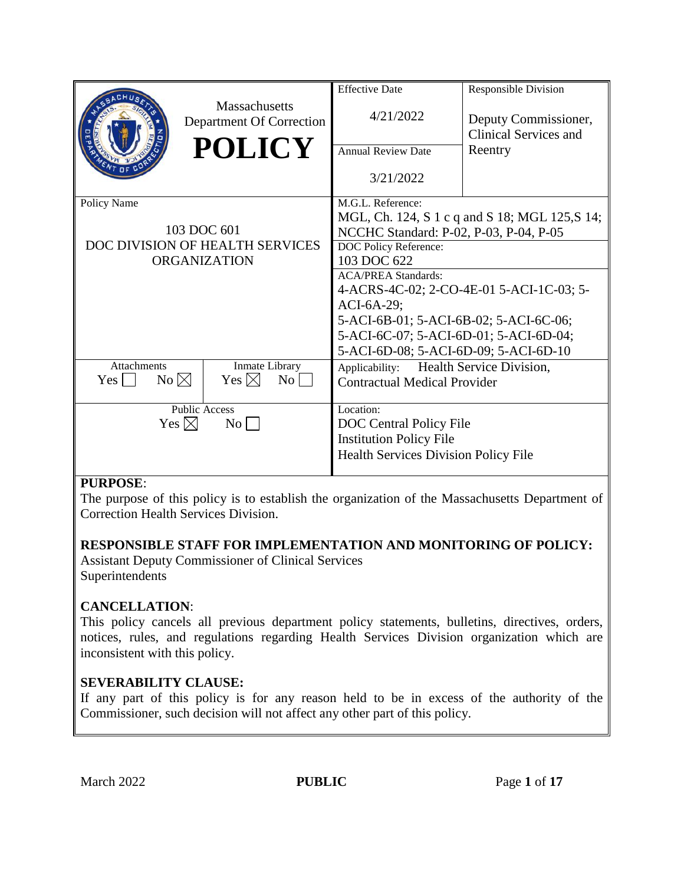|                                  |                                                  | <b>Effective Date</b>                          | <b>Responsible Division</b>                          |
|----------------------------------|--------------------------------------------------|------------------------------------------------|------------------------------------------------------|
|                                  | <b>Massachusetts</b><br>Department Of Correction | 4/21/2022                                      | Deputy Commissioner,<br><b>Clinical Services and</b> |
|                                  | <b>POLICY</b>                                    | <b>Annual Review Date</b>                      | Reentry                                              |
|                                  |                                                  | 3/21/2022                                      |                                                      |
| Policy Name                      |                                                  | M.G.L. Reference:                              |                                                      |
|                                  |                                                  | MGL, Ch. 124, S 1 c q and S 18; MGL 125, S 14; |                                                      |
| 103 DOC 601                      |                                                  | NCCHC Standard: P-02, P-03, P-04, P-05         |                                                      |
| DOC DIVISION OF HEALTH SERVICES  |                                                  | DOC Policy Reference:                          |                                                      |
| <b>ORGANIZATION</b>              |                                                  | 103 DOC 622                                    |                                                      |
|                                  |                                                  | <b>ACA/PREA Standards:</b>                     |                                                      |
|                                  |                                                  | 4-ACRS-4C-02; 2-CO-4E-01 5-ACI-1C-03; 5-       |                                                      |
|                                  |                                                  | $ACI-6A-29;$                                   |                                                      |
|                                  |                                                  | 5-ACI-6B-01; 5-ACI-6B-02; 5-ACI-6C-06;         |                                                      |
|                                  |                                                  | 5-ACI-6C-07; 5-ACI-6D-01; 5-ACI-6D-04;         |                                                      |
|                                  |                                                  | 5-ACI-6D-08; 5-ACI-6D-09; 5-ACI-6D-10          |                                                      |
| <b>Attachments</b>               | Inmate Library                                   | Applicability:                                 | Health Service Division,                             |
| $No \boxtimes$<br>Yes l          | Yes $\boxtimes$<br>$\overline{N_{O}}$            | <b>Contractual Medical Provider</b>            |                                                      |
| <b>Public Access</b>             |                                                  | Location:                                      |                                                      |
| Yes $\boxtimes$<br>$\mathrm{No}$ |                                                  | <b>DOC</b> Central Policy File                 |                                                      |
|                                  |                                                  | <b>Institution Policy File</b>                 |                                                      |
|                                  |                                                  | <b>Health Services Division Policy File</b>    |                                                      |
|                                  |                                                  |                                                |                                                      |

## **PURPOSE**:

The purpose of this policy is to establish the organization of the Massachusetts Department of Correction Health Services Division.

## **RESPONSIBLE STAFF FOR IMPLEMENTATION AND MONITORING OF POLICY:**

Assistant Deputy Commissioner of Clinical Services **Superintendents** 

## **CANCELLATION**:

This policy cancels all previous department policy statements, bulletins, directives, orders, notices, rules, and regulations regarding Health Services Division organization which are inconsistent with this policy.

# **SEVERABILITY CLAUSE:**

If any part of this policy is for any reason held to be in excess of the authority of the Commissioner, such decision will not affect any other part of this policy.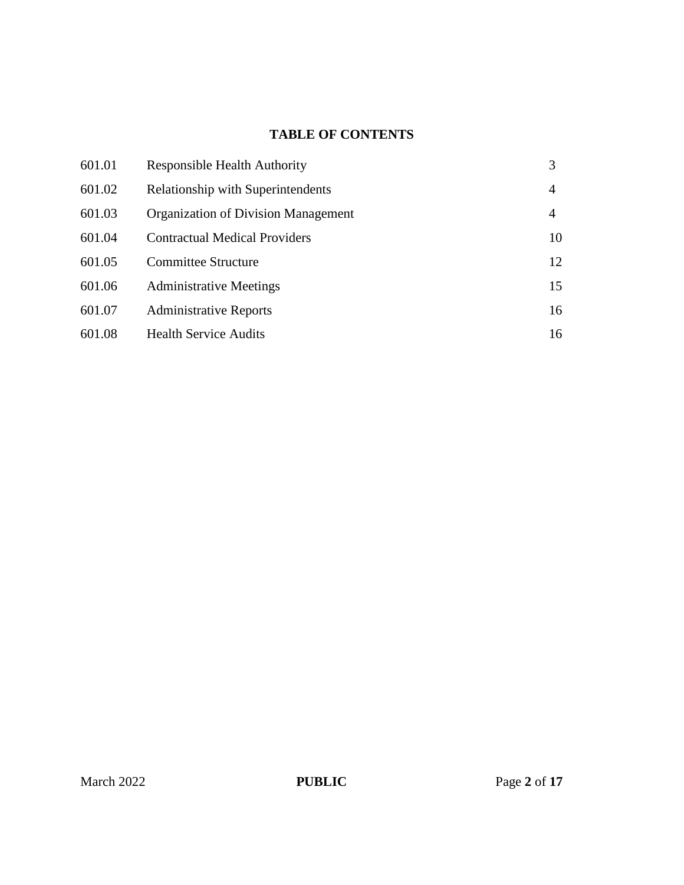# **TABLE OF CONTENTS**

| 601.01 | <b>Responsible Health Authority</b>      | 3  |
|--------|------------------------------------------|----|
| 601.02 | <b>Relationship with Superintendents</b> | 4  |
| 601.03 | Organization of Division Management      | 4  |
| 601.04 | <b>Contractual Medical Providers</b>     | 10 |
| 601.05 | <b>Committee Structure</b>               | 12 |
| 601.06 | <b>Administrative Meetings</b>           | 15 |
| 601.07 | <b>Administrative Reports</b>            | 16 |
| 601.08 | <b>Health Service Audits</b>             | 16 |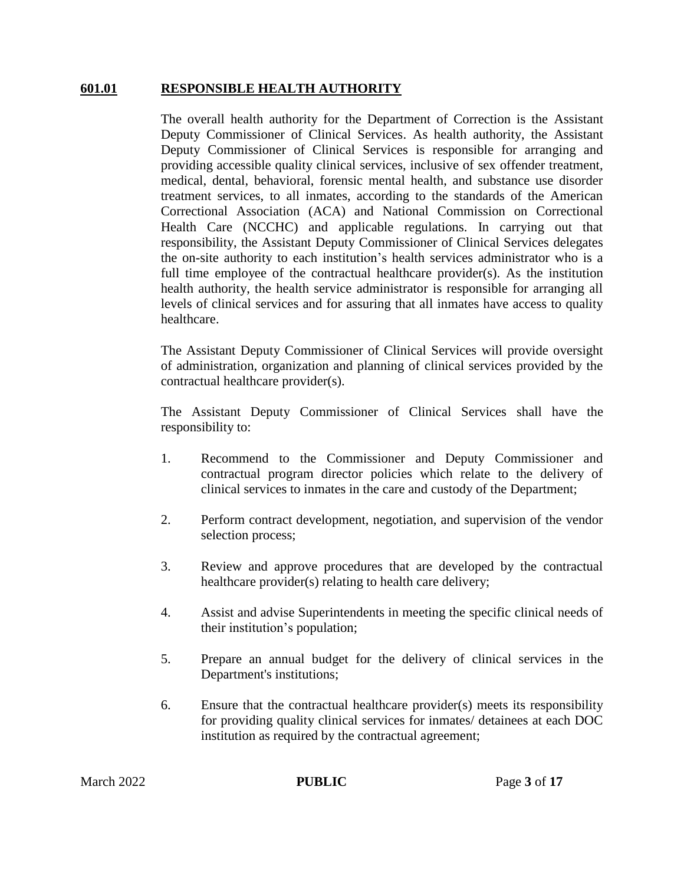#### **601.01 RESPONSIBLE HEALTH AUTHORITY**

The overall health authority for the Department of Correction is the Assistant Deputy Commissioner of Clinical Services. As health authority, the Assistant Deputy Commissioner of Clinical Services is responsible for arranging and providing accessible quality clinical services, inclusive of sex offender treatment, medical, dental, behavioral, forensic mental health, and substance use disorder treatment services, to all inmates, according to the standards of the American Correctional Association (ACA) and National Commission on Correctional Health Care (NCCHC) and applicable regulations. In carrying out that responsibility, the Assistant Deputy Commissioner of Clinical Services delegates the on-site authority to each institution's health services administrator who is a full time employee of the contractual healthcare provider(s). As the institution health authority, the health service administrator is responsible for arranging all levels of clinical services and for assuring that all inmates have access to quality healthcare.

The Assistant Deputy Commissioner of Clinical Services will provide oversight of administration, organization and planning of clinical services provided by the contractual healthcare provider(s).

The Assistant Deputy Commissioner of Clinical Services shall have the responsibility to:

- 1. Recommend to the Commissioner and Deputy Commissioner and contractual program director policies which relate to the delivery of clinical services to inmates in the care and custody of the Department;
- 2. Perform contract development, negotiation, and supervision of the vendor selection process;
- 3. Review and approve procedures that are developed by the contractual healthcare provider(s) relating to health care delivery;
- 4. Assist and advise Superintendents in meeting the specific clinical needs of their institution's population;
- 5. Prepare an annual budget for the delivery of clinical services in the Department's institutions;
- 6. Ensure that the contractual healthcare provider(s) meets its responsibility for providing quality clinical services for inmates/ detainees at each DOC institution as required by the contractual agreement;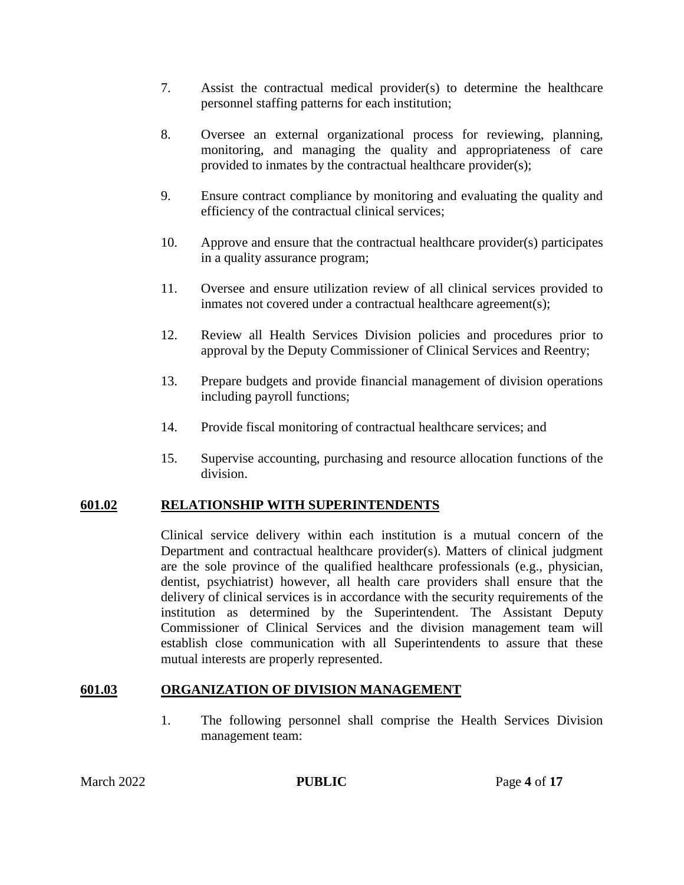- 7. Assist the contractual medical provider(s) to determine the healthcare personnel staffing patterns for each institution;
- 8. Oversee an external organizational process for reviewing, planning, monitoring, and managing the quality and appropriateness of care provided to inmates by the contractual healthcare provider(s);
- 9. Ensure contract compliance by monitoring and evaluating the quality and efficiency of the contractual clinical services;
- 10. Approve and ensure that the contractual healthcare provider(s) participates in a quality assurance program;
- 11. Oversee and ensure utilization review of all clinical services provided to inmates not covered under a contractual healthcare agreement(s);
- 12. Review all Health Services Division policies and procedures prior to approval by the Deputy Commissioner of Clinical Services and Reentry;
- 13. Prepare budgets and provide financial management of division operations including payroll functions;
- 14. Provide fiscal monitoring of contractual healthcare services; and
- 15. Supervise accounting, purchasing and resource allocation functions of the division.

#### **601.02 RELATIONSHIP WITH SUPERINTENDENTS**

Clinical service delivery within each institution is a mutual concern of the Department and contractual healthcare provider(s). Matters of clinical judgment are the sole province of the qualified healthcare professionals (e.g., physician, dentist, psychiatrist) however, all health care providers shall ensure that the delivery of clinical services is in accordance with the security requirements of the institution as determined by the Superintendent. The Assistant Deputy Commissioner of Clinical Services and the division management team will establish close communication with all Superintendents to assure that these mutual interests are properly represented.

## **601.03 ORGANIZATION OF DIVISION MANAGEMENT**

1. The following personnel shall comprise the Health Services Division management team: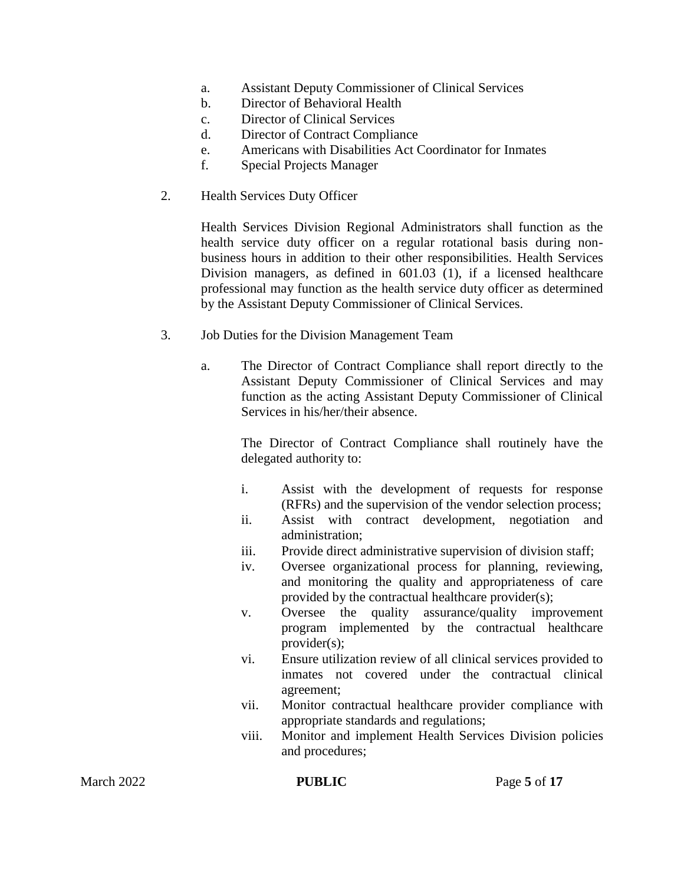- a. Assistant Deputy Commissioner of Clinical Services
- b. Director of Behavioral Health
- c. Director of Clinical Services
- d. Director of Contract Compliance
- e. Americans with Disabilities Act Coordinator for Inmates
- f. Special Projects Manager
- 2. Health Services Duty Officer

Health Services Division Regional Administrators shall function as the health service duty officer on a regular rotational basis during nonbusiness hours in addition to their other responsibilities. Health Services Division managers, as defined in 601.03 (1), if a licensed healthcare professional may function as the health service duty officer as determined by the Assistant Deputy Commissioner of Clinical Services.

- 3. Job Duties for the Division Management Team
	- a. The Director of Contract Compliance shall report directly to the Assistant Deputy Commissioner of Clinical Services and may function as the acting Assistant Deputy Commissioner of Clinical Services in his/her/their absence.

The Director of Contract Compliance shall routinely have the delegated authority to:

- i. Assist with the development of requests for response (RFRs) and the supervision of the vendor selection process;
- ii. Assist with contract development, negotiation and administration;
- iii. Provide direct administrative supervision of division staff;
- iv. Oversee organizational process for planning, reviewing, and monitoring the quality and appropriateness of care provided by the contractual healthcare provider(s);
- v. Oversee the quality assurance/quality improvement program implemented by the contractual healthcare provider(s);
- vi. Ensure utilization review of all clinical services provided to inmates not covered under the contractual clinical agreement;
- vii. Monitor contractual healthcare provider compliance with appropriate standards and regulations;
- viii. Monitor and implement Health Services Division policies and procedures;

March 2022 **PUBLIC** Page 5 of 17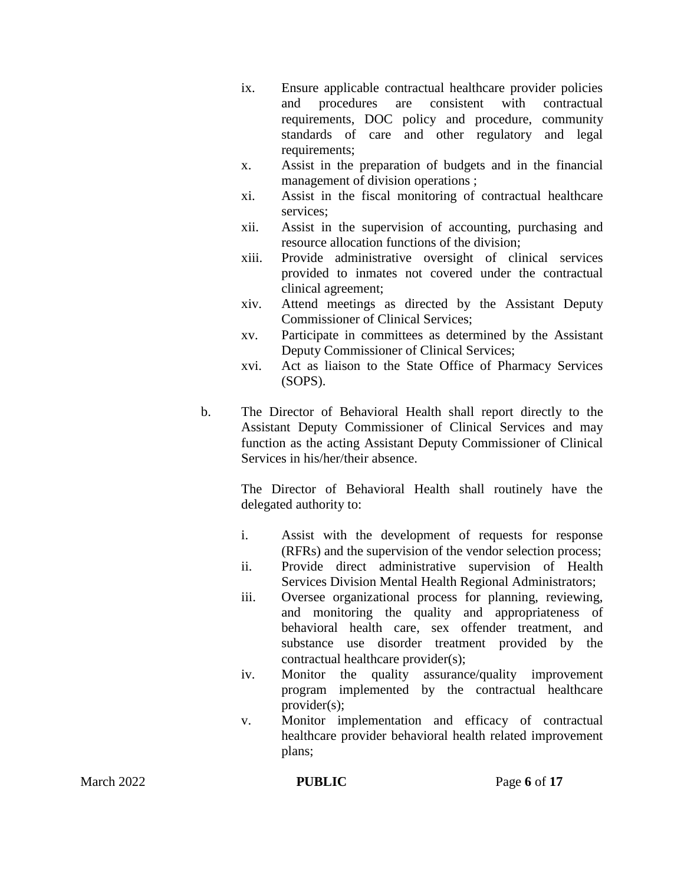- ix. Ensure applicable contractual healthcare provider policies and procedures are consistent with contractual requirements, DOC policy and procedure, community standards of care and other regulatory and legal requirements:
- x. Assist in the preparation of budgets and in the financial management of division operations ;
- xi. Assist in the fiscal monitoring of contractual healthcare services;
- xii. Assist in the supervision of accounting, purchasing and resource allocation functions of the division;
- xiii. Provide administrative oversight of clinical services provided to inmates not covered under the contractual clinical agreement;
- xiv. Attend meetings as directed by the Assistant Deputy Commissioner of Clinical Services;
- xv. Participate in committees as determined by the Assistant Deputy Commissioner of Clinical Services;
- xvi. Act as liaison to the State Office of Pharmacy Services (SOPS).
- b. The Director of Behavioral Health shall report directly to the Assistant Deputy Commissioner of Clinical Services and may function as the acting Assistant Deputy Commissioner of Clinical Services in his/her/their absence.

The Director of Behavioral Health shall routinely have the delegated authority to:

- i. Assist with the development of requests for response (RFRs) and the supervision of the vendor selection process;
- ii. Provide direct administrative supervision of Health Services Division Mental Health Regional Administrators;
- iii. Oversee organizational process for planning, reviewing, and monitoring the quality and appropriateness of behavioral health care, sex offender treatment, and substance use disorder treatment provided by the contractual healthcare provider(s);
- iv. Monitor the quality assurance/quality improvement program implemented by the contractual healthcare provider(s);
- v. Monitor implementation and efficacy of contractual healthcare provider behavioral health related improvement plans;

March 2022 **PUBLIC** Page 6 of 17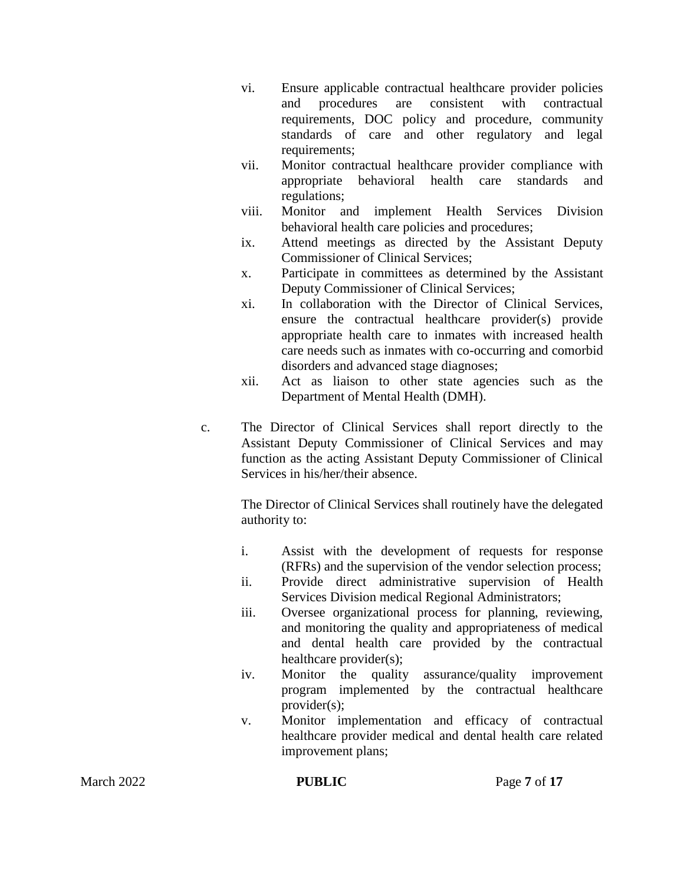- vi. Ensure applicable contractual healthcare provider policies and procedures are consistent with contractual requirements, DOC policy and procedure, community standards of care and other regulatory and legal requirements:
- vii. Monitor contractual healthcare provider compliance with appropriate behavioral health care standards and regulations;
- viii. Monitor and implement Health Services Division behavioral health care policies and procedures;
- ix. Attend meetings as directed by the Assistant Deputy Commissioner of Clinical Services;
- x. Participate in committees as determined by the Assistant Deputy Commissioner of Clinical Services;
- xi. In collaboration with the Director of Clinical Services, ensure the contractual healthcare provider(s) provide appropriate health care to inmates with increased health care needs such as inmates with co-occurring and comorbid disorders and advanced stage diagnoses;
- xii. Act as liaison to other state agencies such as the Department of Mental Health (DMH).
- c. The Director of Clinical Services shall report directly to the Assistant Deputy Commissioner of Clinical Services and may function as the acting Assistant Deputy Commissioner of Clinical Services in his/her/their absence.

The Director of Clinical Services shall routinely have the delegated authority to:

- i. Assist with the development of requests for response (RFRs) and the supervision of the vendor selection process;
- ii. Provide direct administrative supervision of Health Services Division medical Regional Administrators;
- iii. Oversee organizational process for planning, reviewing, and monitoring the quality and appropriateness of medical and dental health care provided by the contractual healthcare provider(s);
- iv. Monitor the quality assurance/quality improvement program implemented by the contractual healthcare provider(s);
- v. Monitor implementation and efficacy of contractual healthcare provider medical and dental health care related improvement plans;

March 2022 **PUBLIC** Page 7 of 17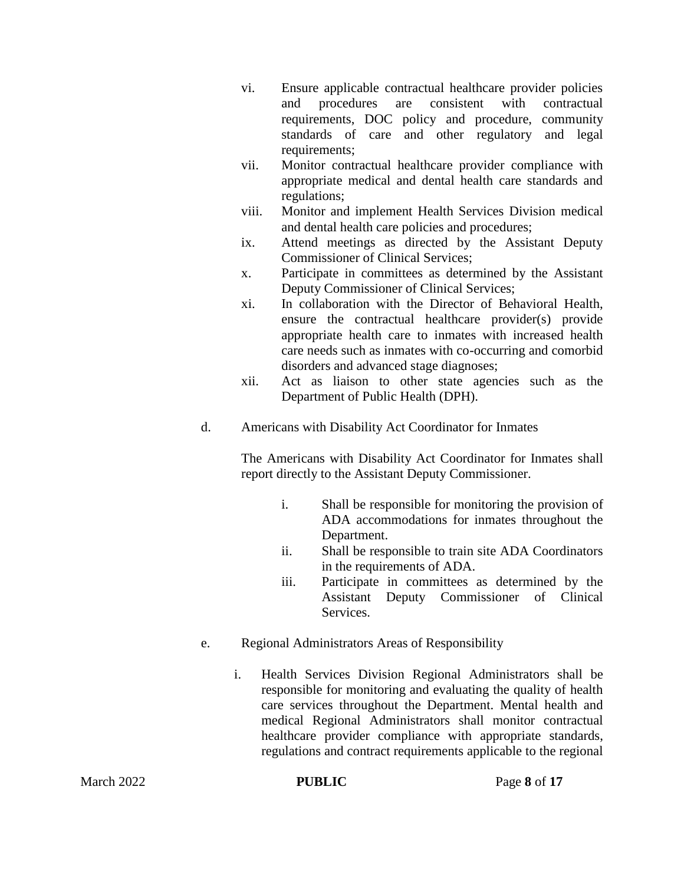- vi. Ensure applicable contractual healthcare provider policies and procedures are consistent with contractual requirements, DOC policy and procedure, community standards of care and other regulatory and legal requirements:
- vii. Monitor contractual healthcare provider compliance with appropriate medical and dental health care standards and regulations;
- viii. Monitor and implement Health Services Division medical and dental health care policies and procedures;
- ix. Attend meetings as directed by the Assistant Deputy Commissioner of Clinical Services;
- x. Participate in committees as determined by the Assistant Deputy Commissioner of Clinical Services;
- xi. In collaboration with the Director of Behavioral Health, ensure the contractual healthcare provider(s) provide appropriate health care to inmates with increased health care needs such as inmates with co-occurring and comorbid disorders and advanced stage diagnoses;
- xii. Act as liaison to other state agencies such as the Department of Public Health (DPH).
- d. Americans with Disability Act Coordinator for Inmates

The Americans with Disability Act Coordinator for Inmates shall report directly to the Assistant Deputy Commissioner.

- i. Shall be responsible for monitoring the provision of ADA accommodations for inmates throughout the Department.
- ii. Shall be responsible to train site ADA Coordinators in the requirements of ADA.
- iii. Participate in committees as determined by the Assistant Deputy Commissioner of Clinical Services.
- e. Regional Administrators Areas of Responsibility
	- i. Health Services Division Regional Administrators shall be responsible for monitoring and evaluating the quality of health care services throughout the Department. Mental health and medical Regional Administrators shall monitor contractual healthcare provider compliance with appropriate standards, regulations and contract requirements applicable to the regional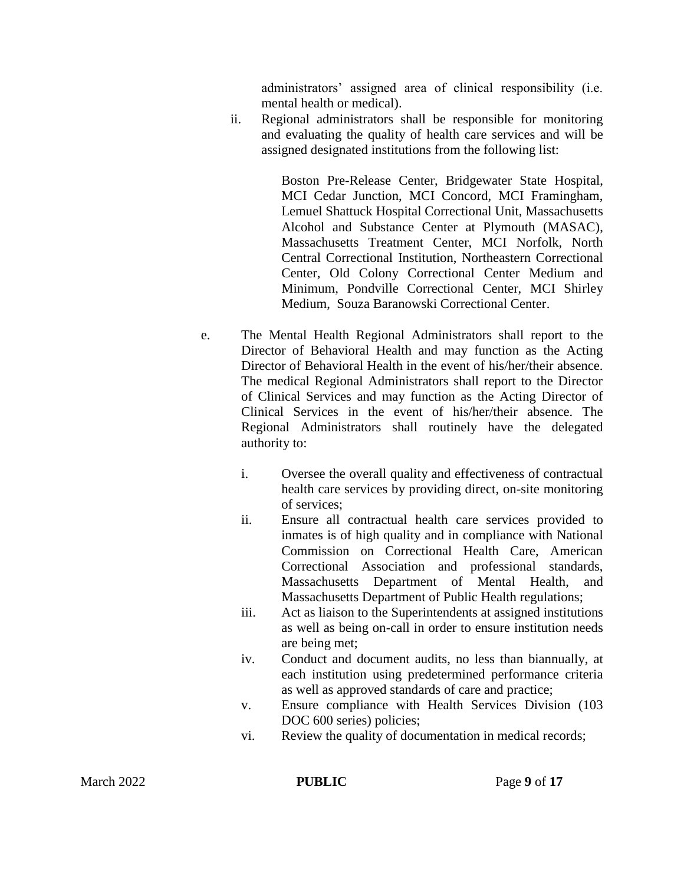administrators' assigned area of clinical responsibility (i.e. mental health or medical).

ii. Regional administrators shall be responsible for monitoring and evaluating the quality of health care services and will be assigned designated institutions from the following list:

> Boston Pre-Release Center, Bridgewater State Hospital, MCI Cedar Junction, MCI Concord, MCI Framingham, Lemuel Shattuck Hospital Correctional Unit, Massachusetts Alcohol and Substance Center at Plymouth (MASAC), Massachusetts Treatment Center, MCI Norfolk, North Central Correctional Institution, Northeastern Correctional Center, Old Colony Correctional Center Medium and Minimum, Pondville Correctional Center, MCI Shirley Medium, Souza Baranowski Correctional Center.

- e. The Mental Health Regional Administrators shall report to the Director of Behavioral Health and may function as the Acting Director of Behavioral Health in the event of his/her/their absence. The medical Regional Administrators shall report to the Director of Clinical Services and may function as the Acting Director of Clinical Services in the event of his/her/their absence. The Regional Administrators shall routinely have the delegated authority to:
	- i. Oversee the overall quality and effectiveness of contractual health care services by providing direct, on-site monitoring of services;
	- ii. Ensure all contractual health care services provided to inmates is of high quality and in compliance with National Commission on Correctional Health Care, American Correctional Association and professional standards, Massachusetts Department of Mental Health, and Massachusetts Department of Public Health regulations;
	- iii. Act as liaison to the Superintendents at assigned institutions as well as being on-call in order to ensure institution needs are being met;
	- iv. Conduct and document audits, no less than biannually, at each institution using predetermined performance criteria as well as approved standards of care and practice;
	- v. Ensure compliance with Health Services Division (103 DOC 600 series) policies;
	- vi. Review the quality of documentation in medical records;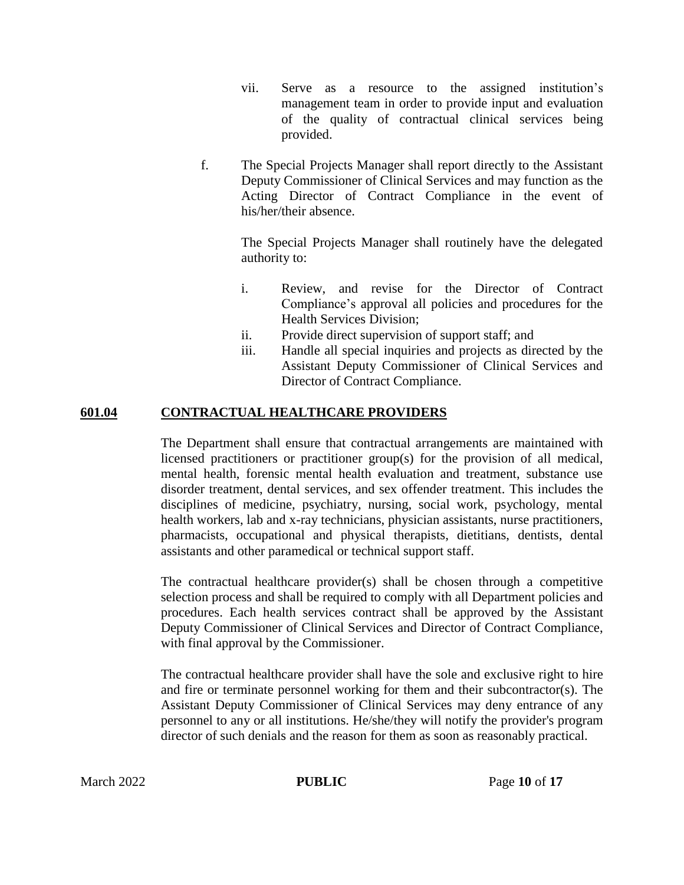- vii. Serve as a resource to the assigned institution's management team in order to provide input and evaluation of the quality of contractual clinical services being provided.
- f. The Special Projects Manager shall report directly to the Assistant Deputy Commissioner of Clinical Services and may function as the Acting Director of Contract Compliance in the event of his/her/their absence.

The Special Projects Manager shall routinely have the delegated authority to:

- i. Review, and revise for the Director of Contract Compliance's approval all policies and procedures for the Health Services Division;
- ii. Provide direct supervision of support staff; and
- iii. Handle all special inquiries and projects as directed by the Assistant Deputy Commissioner of Clinical Services and Director of Contract Compliance.

## **601.04 CONTRACTUAL HEALTHCARE PROVIDERS**

The Department shall ensure that contractual arrangements are maintained with licensed practitioners or practitioner group(s) for the provision of all medical, mental health, forensic mental health evaluation and treatment, substance use disorder treatment, dental services, and sex offender treatment. This includes the disciplines of medicine, psychiatry, nursing, social work, psychology, mental health workers, lab and x-ray technicians, physician assistants, nurse practitioners, pharmacists, occupational and physical therapists, dietitians, dentists, dental assistants and other paramedical or technical support staff.

The contractual healthcare provider(s) shall be chosen through a competitive selection process and shall be required to comply with all Department policies and procedures. Each health services contract shall be approved by the Assistant Deputy Commissioner of Clinical Services and Director of Contract Compliance, with final approval by the Commissioner.

The contractual healthcare provider shall have the sole and exclusive right to hire and fire or terminate personnel working for them and their subcontractor(s). The Assistant Deputy Commissioner of Clinical Services may deny entrance of any personnel to any or all institutions. He/she/they will notify the provider's program director of such denials and the reason for them as soon as reasonably practical.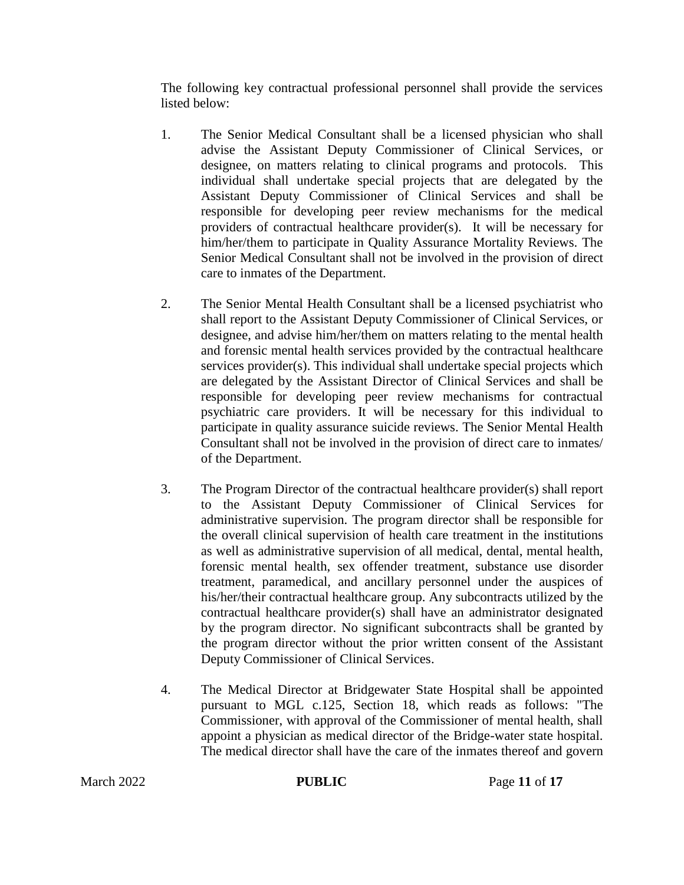The following key contractual professional personnel shall provide the services listed below:

- 1. The Senior Medical Consultant shall be a licensed physician who shall advise the Assistant Deputy Commissioner of Clinical Services, or designee, on matters relating to clinical programs and protocols. This individual shall undertake special projects that are delegated by the Assistant Deputy Commissioner of Clinical Services and shall be responsible for developing peer review mechanisms for the medical providers of contractual healthcare provider(s). It will be necessary for him/her/them to participate in Quality Assurance Mortality Reviews. The Senior Medical Consultant shall not be involved in the provision of direct care to inmates of the Department.
- 2. The Senior Mental Health Consultant shall be a licensed psychiatrist who shall report to the Assistant Deputy Commissioner of Clinical Services, or designee, and advise him/her/them on matters relating to the mental health and forensic mental health services provided by the contractual healthcare services provider(s). This individual shall undertake special projects which are delegated by the Assistant Director of Clinical Services and shall be responsible for developing peer review mechanisms for contractual psychiatric care providers. It will be necessary for this individual to participate in quality assurance suicide reviews. The Senior Mental Health Consultant shall not be involved in the provision of direct care to inmates/ of the Department.
- 3. The Program Director of the contractual healthcare provider(s) shall report to the Assistant Deputy Commissioner of Clinical Services for administrative supervision. The program director shall be responsible for the overall clinical supervision of health care treatment in the institutions as well as administrative supervision of all medical, dental, mental health, forensic mental health, sex offender treatment, substance use disorder treatment, paramedical, and ancillary personnel under the auspices of his/her/their contractual healthcare group. Any subcontracts utilized by the contractual healthcare provider(s) shall have an administrator designated by the program director. No significant subcontracts shall be granted by the program director without the prior written consent of the Assistant Deputy Commissioner of Clinical Services.
- 4. The Medical Director at Bridgewater State Hospital shall be appointed pursuant to MGL c.125, Section 18, which reads as follows: "The Commissioner, with approval of the Commissioner of mental health, shall appoint a physician as medical director of the Bridge-water state hospital. The medical director shall have the care of the inmates thereof and govern

**PUBLIC** Page 11 of 17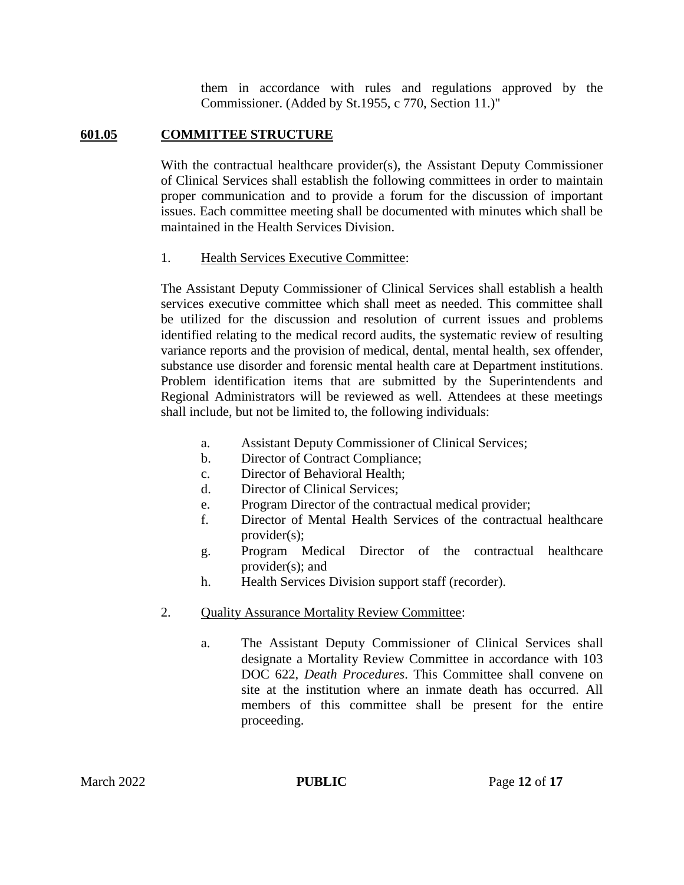them in accordance with rules and regulations approved by the Commissioner. (Added by St.1955, c 770, Section 11.)"

### **601.05 COMMITTEE STRUCTURE**

With the contractual healthcare provider(s), the Assistant Deputy Commissioner of Clinical Services shall establish the following committees in order to maintain proper communication and to provide a forum for the discussion of important issues. Each committee meeting shall be documented with minutes which shall be maintained in the Health Services Division.

#### 1. Health Services Executive Committee:

The Assistant Deputy Commissioner of Clinical Services shall establish a health services executive committee which shall meet as needed. This committee shall be utilized for the discussion and resolution of current issues and problems identified relating to the medical record audits, the systematic review of resulting variance reports and the provision of medical, dental, mental health, sex offender, substance use disorder and forensic mental health care at Department institutions. Problem identification items that are submitted by the Superintendents and Regional Administrators will be reviewed as well. Attendees at these meetings shall include, but not be limited to, the following individuals:

- a. Assistant Deputy Commissioner of Clinical Services;
- b. Director of Contract Compliance;
- c. Director of Behavioral Health;
- d. Director of Clinical Services;
- e. Program Director of the contractual medical provider;
- f. Director of Mental Health Services of the contractual healthcare provider(s);
- g. Program Medical Director of the contractual healthcare provider(s); and
- h. Health Services Division support staff (recorder).
- 2. Quality Assurance Mortality Review Committee:
	- a. The Assistant Deputy Commissioner of Clinical Services shall designate a Mortality Review Committee in accordance with 103 DOC 622, *Death Procedures*. This Committee shall convene on site at the institution where an inmate death has occurred. All members of this committee shall be present for the entire proceeding.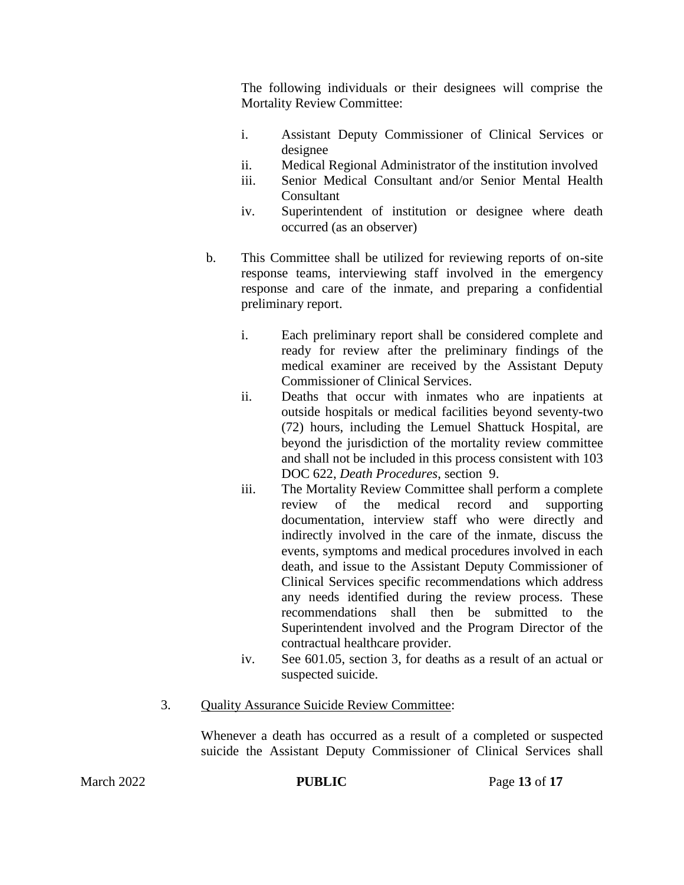The following individuals or their designees will comprise the Mortality Review Committee:

- i. Assistant Deputy Commissioner of Clinical Services or designee
- ii. Medical Regional Administrator of the institution involved
- iii. Senior Medical Consultant and/or Senior Mental Health **Consultant**
- iv. Superintendent of institution or designee where death occurred (as an observer)
- b. This Committee shall be utilized for reviewing reports of on-site response teams, interviewing staff involved in the emergency response and care of the inmate, and preparing a confidential preliminary report.
	- i. Each preliminary report shall be considered complete and ready for review after the preliminary findings of the medical examiner are received by the Assistant Deputy Commissioner of Clinical Services.
	- ii. Deaths that occur with inmates who are inpatients at outside hospitals or medical facilities beyond seventy-two (72) hours, including the Lemuel Shattuck Hospital, are beyond the jurisdiction of the mortality review committee and shall not be included in this process consistent with 103 DOC 622, *Death Procedures*, section 9.
	- iii. The Mortality Review Committee shall perform a complete review of the medical record and supporting documentation, interview staff who were directly and indirectly involved in the care of the inmate, discuss the events, symptoms and medical procedures involved in each death, and issue to the Assistant Deputy Commissioner of Clinical Services specific recommendations which address any needs identified during the review process. These recommendations shall then be submitted to the Superintendent involved and the Program Director of the contractual healthcare provider.
	- iv. See 601.05, section 3, for deaths as a result of an actual or suspected suicide.
- 3. Quality Assurance Suicide Review Committee:

Whenever a death has occurred as a result of a completed or suspected suicide the Assistant Deputy Commissioner of Clinical Services shall

**PUBLIC** Page 13 of 17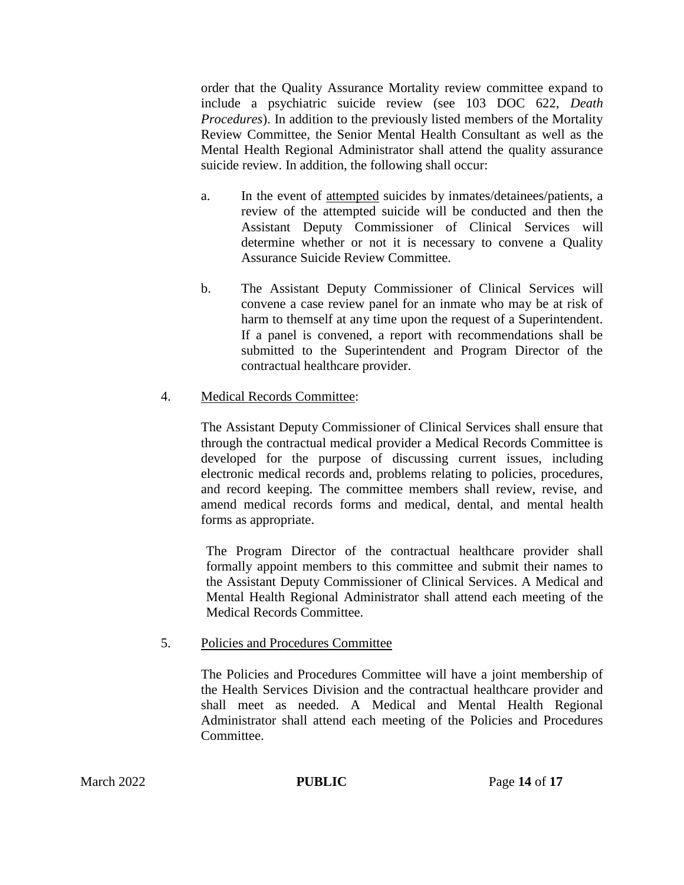order that the Quality Assurance Mortality review committee expand to include a psychiatric suicide review (see 103 DOC 622, *Death Procedures*). In addition to the previously listed members of the Mortality Review Committee, the Senior Mental Health Consultant as well as the Mental Health Regional Administrator shall attend the quality assurance suicide review. In addition, the following shall occur:

- a. In the event of attempted suicides by inmates/detainees/patients, a review of the attempted suicide will be conducted and then the Assistant Deputy Commissioner of Clinical Services will determine whether or not it is necessary to convene a Quality Assurance Suicide Review Committee.
- b. The Assistant Deputy Commissioner of Clinical Services will convene a case review panel for an inmate who may be at risk of harm to themself at any time upon the request of a Superintendent. If a panel is convened, a report with recommendations shall be submitted to the Superintendent and Program Director of the contractual healthcare provider.

## 4. Medical Records Committee:

The Assistant Deputy Commissioner of Clinical Services shall ensure that through the contractual medical provider a Medical Records Committee is developed for the purpose of discussing current issues, including electronic medical records and, problems relating to policies, procedures, and record keeping. The committee members shall review, revise, and amend medical records forms and medical, dental, and mental health forms as appropriate.

The Program Director of the contractual healthcare provider shall formally appoint members to this committee and submit their names to the Assistant Deputy Commissioner of Clinical Services. A Medical and Mental Health Regional Administrator shall attend each meeting of the Medical Records Committee.

# 5. Policies and Procedures Committee

The Policies and Procedures Committee will have a joint membership of the Health Services Division and the contractual healthcare provider and shall meet as needed. A Medical and Mental Health Regional Administrator shall attend each meeting of the Policies and Procedures Committee.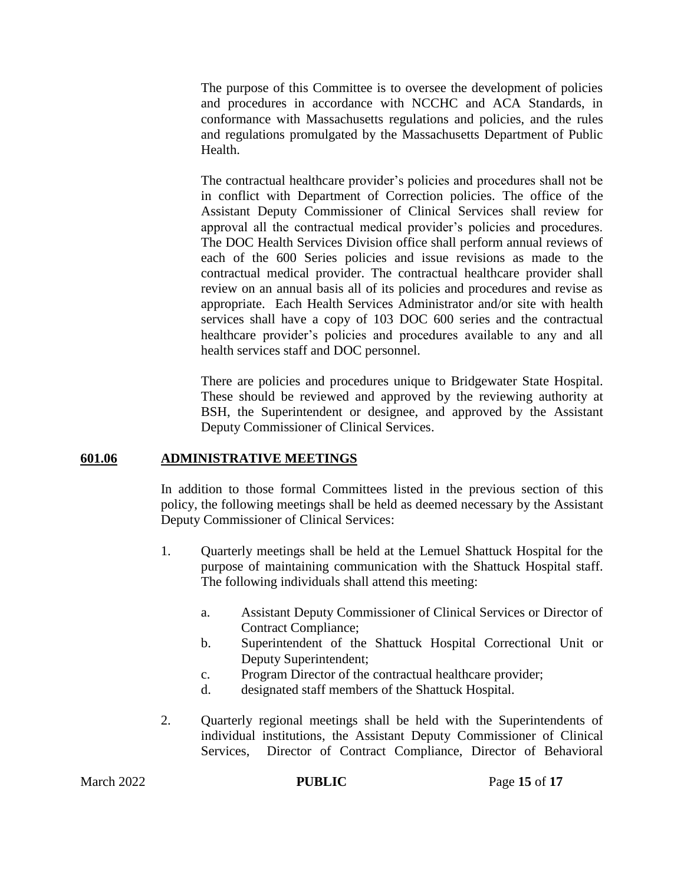The purpose of this Committee is to oversee the development of policies and procedures in accordance with NCCHC and ACA Standards, in conformance with Massachusetts regulations and policies, and the rules and regulations promulgated by the Massachusetts Department of Public Health.

The contractual healthcare provider's policies and procedures shall not be in conflict with Department of Correction policies. The office of the Assistant Deputy Commissioner of Clinical Services shall review for approval all the contractual medical provider's policies and procedures. The DOC Health Services Division office shall perform annual reviews of each of the 600 Series policies and issue revisions as made to the contractual medical provider. The contractual healthcare provider shall review on an annual basis all of its policies and procedures and revise as appropriate. Each Health Services Administrator and/or site with health services shall have a copy of 103 DOC 600 series and the contractual healthcare provider's policies and procedures available to any and all health services staff and DOC personnel.

There are policies and procedures unique to Bridgewater State Hospital. These should be reviewed and approved by the reviewing authority at BSH, the Superintendent or designee, and approved by the Assistant Deputy Commissioner of Clinical Services.

#### **601.06 ADMINISTRATIVE MEETINGS**

In addition to those formal Committees listed in the previous section of this policy, the following meetings shall be held as deemed necessary by the Assistant Deputy Commissioner of Clinical Services:

- 1. Quarterly meetings shall be held at the Lemuel Shattuck Hospital for the purpose of maintaining communication with the Shattuck Hospital staff. The following individuals shall attend this meeting:
	- a. Assistant Deputy Commissioner of Clinical Services or Director of Contract Compliance;
	- b. Superintendent of the Shattuck Hospital Correctional Unit or Deputy Superintendent;
	- c. Program Director of the contractual healthcare provider;
	- d. designated staff members of the Shattuck Hospital.
- 2. Quarterly regional meetings shall be held with the Superintendents of individual institutions, the Assistant Deputy Commissioner of Clinical Services, Director of Contract Compliance, Director of Behavioral

**PUBLIC** Page 15 of 17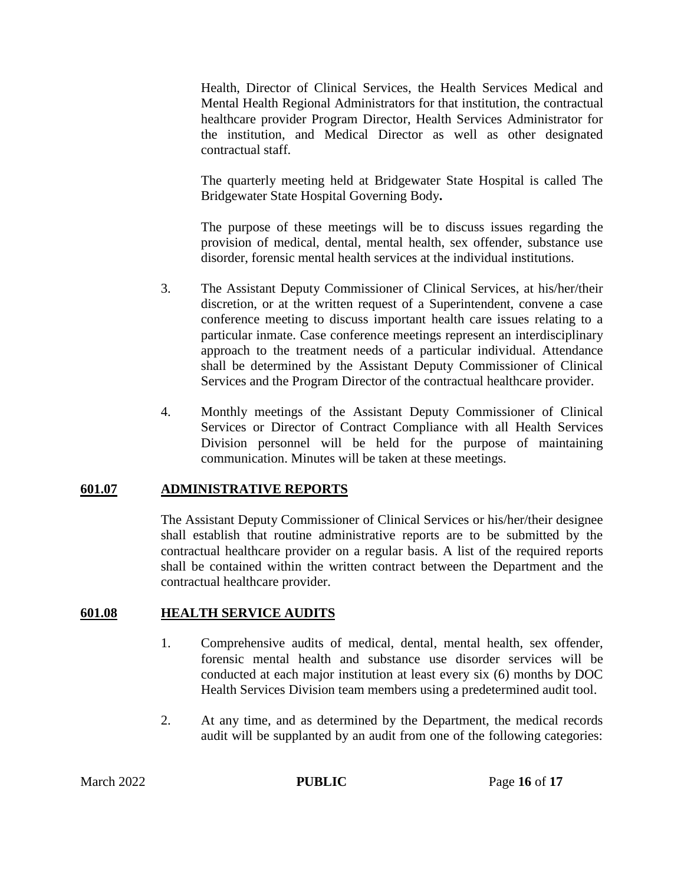Health, Director of Clinical Services, the Health Services Medical and Mental Health Regional Administrators for that institution, the contractual healthcare provider Program Director, Health Services Administrator for the institution, and Medical Director as well as other designated contractual staff.

The quarterly meeting held at Bridgewater State Hospital is called The Bridgewater State Hospital Governing Body**.**

The purpose of these meetings will be to discuss issues regarding the provision of medical, dental, mental health, sex offender, substance use disorder, forensic mental health services at the individual institutions.

- 3. The Assistant Deputy Commissioner of Clinical Services, at his/her/their discretion, or at the written request of a Superintendent, convene a case conference meeting to discuss important health care issues relating to a particular inmate. Case conference meetings represent an interdisciplinary approach to the treatment needs of a particular individual. Attendance shall be determined by the Assistant Deputy Commissioner of Clinical Services and the Program Director of the contractual healthcare provider.
- 4. Monthly meetings of the Assistant Deputy Commissioner of Clinical Services or Director of Contract Compliance with all Health Services Division personnel will be held for the purpose of maintaining communication. Minutes will be taken at these meetings.

## **601.07 ADMINISTRATIVE REPORTS**

The Assistant Deputy Commissioner of Clinical Services or his/her/their designee shall establish that routine administrative reports are to be submitted by the contractual healthcare provider on a regular basis. A list of the required reports shall be contained within the written contract between the Department and the contractual healthcare provider.

## **601.08 HEALTH SERVICE AUDITS**

- 1. Comprehensive audits of medical, dental, mental health, sex offender, forensic mental health and substance use disorder services will be conducted at each major institution at least every six (6) months by DOC Health Services Division team members using a predetermined audit tool.
- 2. At any time, and as determined by the Department, the medical records audit will be supplanted by an audit from one of the following categories: